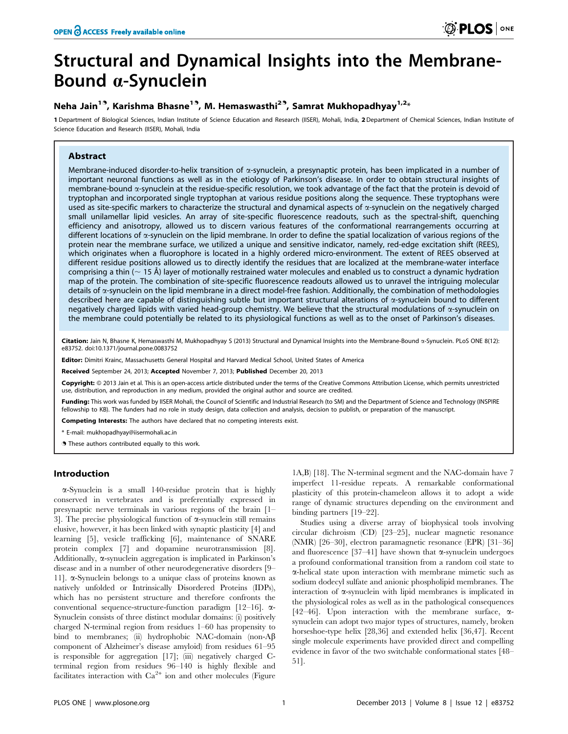# Structural and Dynamical Insights into the Membrane-Bound a-Synuclein

# Neha Jain<sup>19</sup>, Karishma Bhasne<sup>19</sup>, M. Hemaswasthi<sup>29</sup>, Samrat Mukhopadhyay<sup>1,2</sup>\*

1 Department of Biological Sciences, Indian Institute of Science Education and Research (IISER), Mohali, India, 2 Department of Chemical Sciences, Indian Institute of Science Education and Research (IISER), Mohali, India

# Abstract

Membrane-induced disorder-to-helix transition of  $\alpha$ -synuclein, a presynaptic protein, has been implicated in a number of important neuronal functions as well as in the etiology of Parkinson's disease. In order to obtain structural insights of membrane-bound a-synuclein at the residue-specific resolution, we took advantage of the fact that the protein is devoid of tryptophan and incorporated single tryptophan at various residue positions along the sequence. These tryptophans were used as site-specific markers to characterize the structural and dynamical aspects of  $\alpha$ -synuclein on the negatively charged small unilamellar lipid vesicles. An array of site-specific fluorescence readouts, such as the spectral-shift, quenching efficiency and anisotropy, allowed us to discern various features of the conformational rearrangements occurring at different locations of  $\alpha$ -synuclein on the lipid membrane. In order to define the spatial localization of various regions of the protein near the membrane surface, we utilized a unique and sensitive indicator, namely, red-edge excitation shift (REES), which originates when a fluorophore is located in a highly ordered micro-environment. The extent of REES observed at different residue positions allowed us to directly identify the residues that are localized at the membrane-water interface comprising a thin ( $\sim$  15 Å) layer of motionally restrained water molecules and enabled us to construct a dynamic hydration map of the protein. The combination of site-specific fluorescence readouts allowed us to unravel the intriguing molecular details of a-synuclein on the lipid membrane in a direct model-free fashion. Additionally, the combination of methodologies described here are capable of distinguishing subtle but important structural alterations of  $\alpha$ -synuclein bound to different negatively charged lipids with varied head-group chemistry. We believe that the structural modulations of  $\alpha$ -synuclein on the membrane could potentially be related to its physiological functions as well as to the onset of Parkinson's diseases.

Citation: Jain N, Bhasne K, Hemaswasthi M, Mukhopadhyay S (2013) Structural and Dynamical Insights into the Membrane-Bound  $\alpha$ -Synuclein. PLoS ONE 8(12): e83752. doi:10.1371/journal.pone.0083752

Editor: Dimitri Krainc, Massachusetts General Hospital and Harvard Medical School, United States of America

Received September 24, 2013; Accepted November 7, 2013; Published December 20, 2013

Copyright: © 2013 Jain et al. This is an open-access article distributed under the terms of the Creative Commons Attribution License, which permits unrestricted use, distribution, and reproduction in any medium, provided the original author and source are credited.

Funding: This work was funded by IISER Mohali, the Council of Scientific and Industrial Research (to SM) and the Department of Science and Technology (INSPIRE fellowship to KB). The funders had no role in study design, data collection and analysis, decision to publish, or preparation of the manuscript.

Competing Interests: The authors have declared that no competing interests exist.

\* E-mail: mukhopadhyay@iisermohali.ac.in

. These authors contributed equally to this work.

# Introduction

a-Synuclein is a small 140-residue protein that is highly conserved in vertebrates and is preferentially expressed in presynaptic nerve terminals in various regions of the brain [1– 3]. The precise physiological function of  $\alpha$ -synuclein still remains elusive, however, it has been linked with synaptic plasticity [4] and learning [5], vesicle trafficking [6], maintenance of SNARE protein complex [7] and dopamine neurotransmission [8]. Additionally,  $\alpha$ -synuclein aggregation is implicated in Parkinson's disease and in a number of other neurodegenerative disorders [9– 11].  $\alpha$ -Synuclein belongs to a unique class of proteins known as natively unfolded or Intrinsically Disordered Proteins (IDPs), which has no persistent structure and therefore confronts the conventional sequence-structure-function paradigm [12–16]. a-Synuclein consists of three distinct modular domains: (i) positively charged N-terminal region from residues 1–60 has propensity to bind to membranes; (ii) hydrophobic NAC-domain (non-A $\beta$ ) component of Alzheimer's disease amyloid) from residues 61–95 is responsible for aggregation [17]; (iii) negatively charged Cterminal region from residues 96–140 is highly flexible and facilitates interaction with  $\text{Ca}^{2+}$  ion and other molecules (Figure

1A,B) [18]. The N-terminal segment and the NAC-domain have 7 imperfect 11-residue repeats. A remarkable conformational plasticity of this protein-chameleon allows it to adopt a wide range of dynamic structures depending on the environment and binding partners [19–22].

Studies using a diverse array of biophysical tools involving circular dichroism (CD) [23–25], nuclear magnetic resonance (NMR) [26–30], electron paramagnetic resonance (EPR) [31–36] and fluorescence [37–41] have shown that  $\alpha$ -synuclein undergoes a profound conformational transition from a random coil state to a-helical state upon interaction with membrane mimetic such as sodium dodecyl sulfate and anionic phospholipid membranes. The interaction of  $\alpha$ -synuclein with lipid membranes is implicated in the physiological roles as well as in the pathological consequences [42–46]. Upon interaction with the membrane surface,  $\alpha$ synuclein can adopt two major types of structures, namely, broken horseshoe-type helix [28,36] and extended helix [36,47]. Recent single molecule experiments have provided direct and compelling evidence in favor of the two switchable conformational states [48– 51].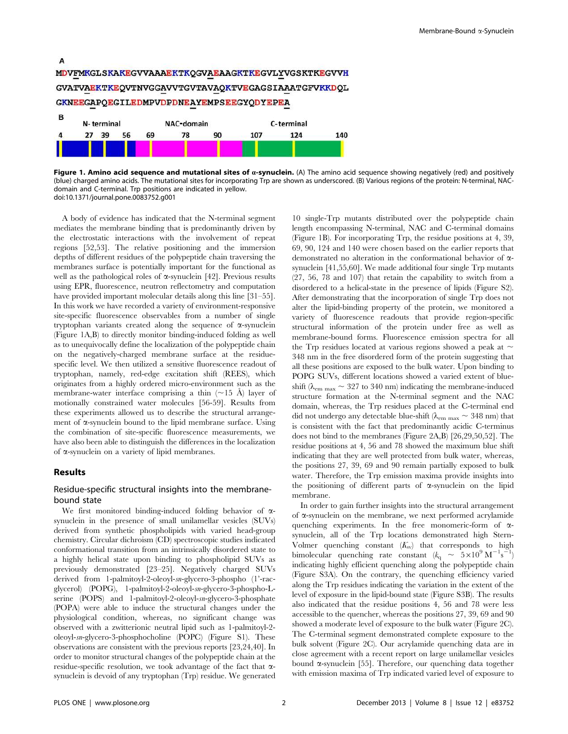

Figure 1. Amino acid sequence and mutational sites of a-synuclein. (A) The amino acid sequence showing negatively (red) and positively (blue) charged amino acids. The mutational sites for incorporating Trp are shown as underscored. (B) Various regions of the protein: N-terminal, NACdomain and C-terminal. Trp positions are indicated in yellow. doi:10.1371/journal.pone.0083752.g001

A body of evidence has indicated that the N-terminal segment mediates the membrane binding that is predominantly driven by the electrostatic interactions with the involvement of repeat regions [52,53]. The relative positioning and the immersion depths of different residues of the polypeptide chain traversing the membranes surface is potentially important for the functional as well as the pathological roles of  $\alpha$ -synuclein [42]. Previous results using EPR, fluorescence, neutron reflectometry and computation have provided important molecular details along this line [31–55]. In this work we have recorded a variety of environment-responsive site-specific fluorescence observables from a number of single tryptophan variants created along the sequence of  $\alpha$ -synuclein (Figure 1A,B) to directly monitor binding-induced folding as well as to unequivocally define the localization of the polypeptide chain on the negatively-charged membrane surface at the residuespecific level. We then utilized a sensitive fluorescence readout of tryptophan, namely, red-edge excitation shift (REES), which originates from a highly ordered micro-environment such as the membrane-water interface comprising a thin  $(\sim 15 \text{ Å})$  layer of motionally constrained water molecules [56-59]. Results from these experiments allowed us to describe the structural arrangement of  $\alpha$ -synuclein bound to the lipid membrane surface. Using the combination of site-specific fluorescence measurements, we have also been able to distinguish the differences in the localization of a-synuclein on a variety of lipid membranes.

#### Results

# Residue-specific structural insights into the membranebound state

We first monitored binding-induced folding behavior of  $\alpha$ synuclein in the presence of small unilamellar vesicles (SUVs) derived from synthetic phospholipids with varied head-group chemistry. Circular dichroism (CD) spectroscopic studies indicated conformational transition from an intrinsically disordered state to a highly helical state upon binding to phospholipid SUVs as previously demonstrated [23–25]. Negatively charged SUVs derived from 1-palmitoyl-2-oleoyl-sn-glycero-3-phospho (1'-racglycerol) (POPG), 1-palmitoyl-2-oleoyl-sn-glycero-3-phospho-Lserine (POPS) and 1-palmitoyl-2-oleoyl-sn-glycero-3-phosphate (POPA) were able to induce the structural changes under the physiological condition, whereas, no significant change was observed with a zwitterionic neutral lipid such as 1-palmitoyl-2 oleoyl-sn-glycero-3-phosphocholine (POPC) (Figure S1). These observations are consistent with the previous reports [23,24,40]. In order to monitor structural changes of the polypeptide chain at the residue-specific resolution, we took advantage of the fact that  $\alpha$ synuclein is devoid of any tryptophan (Trp) residue. We generated

10 single-Trp mutants distributed over the polypeptide chain length encompassing N-terminal, NAC and C-terminal domains (Figure 1B). For incorporating Trp, the residue positions at 4, 39, 69, 90, 124 and 140 were chosen based on the earlier reports that demonstrated no alteration in the conformational behavior of asynuclein [41,55,60]. We made additional four single Trp mutants (27, 56, 78 and 107) that retain the capability to switch from a disordered to a helical-state in the presence of lipids (Figure S2). After demonstrating that the incorporation of single Trp does not alter the lipid-binding property of the protein, we monitored a variety of fluorescence readouts that provide region-specific structural information of the protein under free as well as membrane-bound forms. Fluorescence emission spectra for all the Trp residues located at various regions showed a peak at  $\sim$ 348 nm in the free disordered form of the protein suggesting that all these positions are exposed to the bulk water. Upon binding to POPG SUVs, different locations showed a varied extent of blueshift ( $\lambda_{\rm em \, max} \sim 327$  to 340 nm) indicating the membrane-induced structure formation at the N-terminal segment and the NAC domain, whereas, the Trp residues placed at the C-terminal end did not undergo any detectable blue-shift ( $\lambda_{\rm em \, max} \sim 348$  nm) that is consistent with the fact that predominantly acidic C-terminus does not bind to the membranes (Figure 2A,B) [26,29,50,52]. The residue positions at 4, 56 and 78 showed the maximum blue shift indicating that they are well protected from bulk water, whereas, the positions 27, 39, 69 and 90 remain partially exposed to bulk water. Therefore, the Trp emission maxima provide insights into the positioning of different parts of  $\alpha$ -synuclein on the lipid membrane.

In order to gain further insights into the structural arrangement of a-synuclein on the membrane, we next performed acrylamide quenching experiments. In the free monomeric-form of asynuclein, all of the Trp locations demonstrated high Stern-Volmer quenching constant  $(K_{\rm sv})$  that corresponds to high bimolecular quenching rate constant  $(k_q \sim 5 \times 10^9 \text{ M}^{-1} \text{s}^{-1})$ indicating highly efficient quenching along the polypeptide chain (Figure S3A). On the contrary, the quenching efficiency varied along the Trp residues indicating the variation in the extent of the level of exposure in the lipid-bound state (Figure S3B). The results also indicated that the residue positions 4, 56 and 78 were less accessible to the quencher, whereas the positions 27, 39, 69 and 90 showed a moderate level of exposure to the bulk water (Figure 2C). The C-terminal segment demonstrated complete exposure to the bulk solvent (Figure 2C). Our acrylamide quenching data are in close agreement with a recent report on large unilamellar vesicles bound  $\alpha$ -synuclein [55]. Therefore, our quenching data together with emission maxima of Trp indicated varied level of exposure to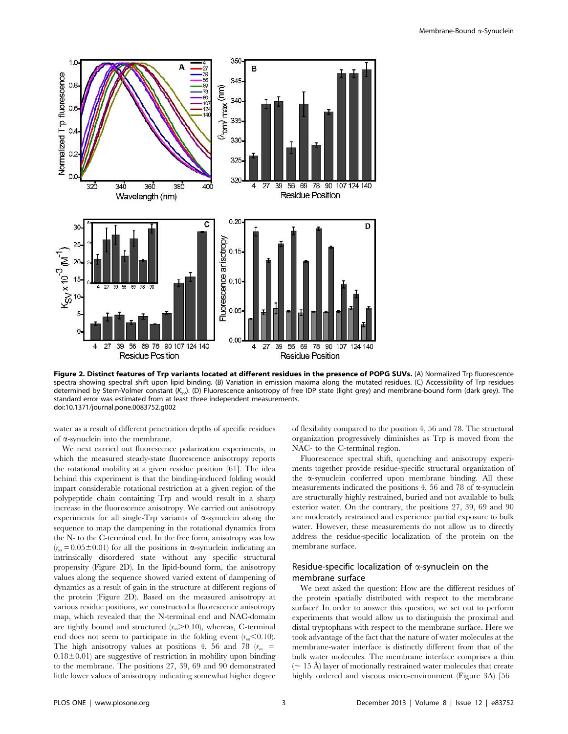

Figure 2. Distinct features of Trp variants located at different residues in the presence of POPG SUVs. (A) Normalized Trp fluorescence spectra showing spectral shift upon lipid binding. (B) Variation in emission maxima along the mutated residues. (C) Accessibility of Trp residues determined by Stern-Volmer constant  $(K_{\rm sv}$ ). (D) Fluorescence anisotropy of free IDP state (light grey) and membrane-bound form (dark grey). The standard error was estimated from at least three independent measurements. doi:10.1371/journal.pone.0083752.g002

water as a result of different penetration depths of specific residues of a-synuclein into the membrane.

We next carried out fluorescence polarization experiments, in which the measured steady-state fluorescence anisotropy reports the rotational mobility at a given residue position [61]. The idea behind this experiment is that the binding-induced folding would impart considerable rotational restriction at a given region of the polypeptide chain containing Trp and would result in a sharp increase in the fluorescence anisotropy. We carried out anisotropy experiments for all single-Trp variants of  $\alpha$ -synuclein along the sequence to map the dampening in the rotational dynamics from the N- to the C-terminal end. In the free form, anisotropy was low  $(r<sub>ss</sub> = 0.05 \pm 0.01)$  for all the positions in  $\alpha$ -synuclein indicating an intrinsically disordered state without any specific structural propensity (Figure 2D). In the lipid-bound form, the anisotropy values along the sequence showed varied extent of dampening of dynamics as a result of gain in the structure at different regions of the protein (Figure 2D). Based on the measured anisotropy at various residue positions, we constructed a fluorescence anisotropy map, which revealed that the N-terminal end and NAC-domain are tightly bound and structured  $(r_{ss} > 0.10)$ , whereas, C-terminal end does not seem to participate in the folding event  $(r_{ss} < 0.10)$ . The high anisotropy values at positions 4, 56 and 78 ( $r_{ss}$  =  $0.18\pm0.01$ ) are suggestive of restriction in mobility upon binding to the membrane. The positions 27, 39, 69 and 90 demonstrated little lower values of anisotropy indicating somewhat higher degree

of flexibility compared to the position 4, 56 and 78. The structural organization progressively diminishes as Trp is moved from the NAC- to the C-terminal region.

Fluorescence spectral shift, quenching and anisotropy experiments together provide residue-specific structural organization of the  $\alpha$ -synuclein conferred upon membrane binding. All these measurements indicated the positions 4, 56 and 78 of  $\alpha$ -synuclein are structurally highly restrained, buried and not available to bulk exterior water. On the contrary, the positions 27, 39, 69 and 90 are moderately restrained and experience partial exposure to bulk water. However, these measurements do not allow us to directly address the residue-specific localization of the protein on the membrane surface.

# Residue-specific localization of  $\alpha$ -synuclein on the membrane surface

We next asked the question: How are the different residues of the protein spatially distributed with respect to the membrane surface? In order to answer this question, we set out to perform experiments that would allow us to distinguish the proximal and distal tryptophans with respect to the membrane surface. Here we took advantage of the fact that the nature of water molecules at the membrane-water interface is distinctly different from that of the bulk water molecules. The membrane interface comprises a thin  $($   $\sim$  15 Å) layer of motionally restrained water molecules that create highly ordered and viscous micro-environment (Figure 3A) [56–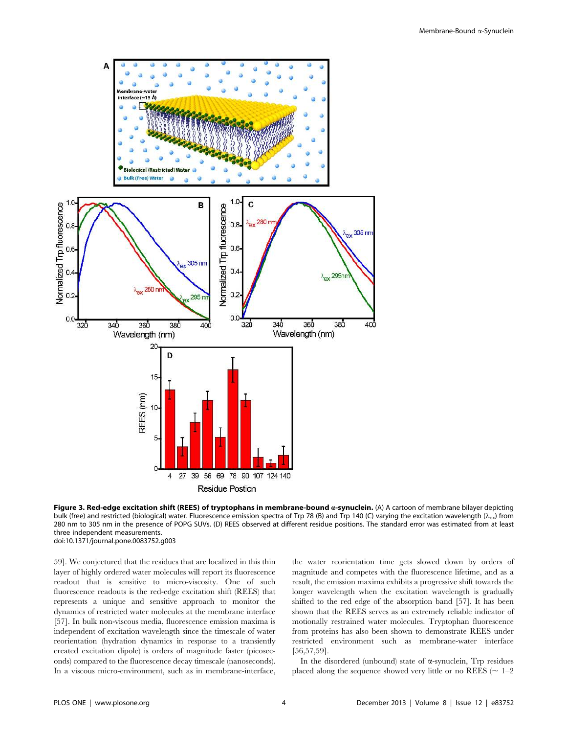

Figure 3. Red-edge excitation shift (REES) of tryptophans in membrane-bound a-synuclein. (A) A cartoon of membrane bilayer depicting bulk (free) and restricted (biological) water. Fluorescence emission spectra of Trp 78 (B) and Trp 140 (C) varying the excitation wavelength ( $\lambda_{\text{ex}}$ ) from 280 nm to 305 nm in the presence of POPG SUVs. (D) REES observed at different residue positions. The standard error was estimated from at least three independent measurements. doi:10.1371/journal.pone.0083752.g003

59]. We conjectured that the residues that are localized in this thin layer of highly ordered water molecules will report its fluorescence readout that is sensitive to micro-viscosity. One of such fluorescence readouts is the red-edge excitation shift (REES) that represents a unique and sensitive approach to monitor the dynamics of restricted water molecules at the membrane interface [57]. In bulk non-viscous media, fluorescence emission maxima is independent of excitation wavelength since the timescale of water reorientation (hydration dynamics in response to a transiently created excitation dipole) is orders of magnitude faster (picoseconds) compared to the fluorescence decay timescale (nanoseconds). In a viscous micro-environment, such as in membrane-interface,

the water reorientation time gets slowed down by orders of magnitude and competes with the fluorescence lifetime, and as a result, the emission maxima exhibits a progressive shift towards the longer wavelength when the excitation wavelength is gradually shifted to the red edge of the absorption band [57]. It has been shown that the REES serves as an extremely reliable indicator of motionally restrained water molecules. Tryptophan fluorescence from proteins has also been shown to demonstrate REES under restricted environment such as membrane-water interface [56,57,59].

In the disordered (unbound) state of  $\alpha$ -synuclein, Trp residues placed along the sequence showed very little or no REES ( $\sim 1-2$ )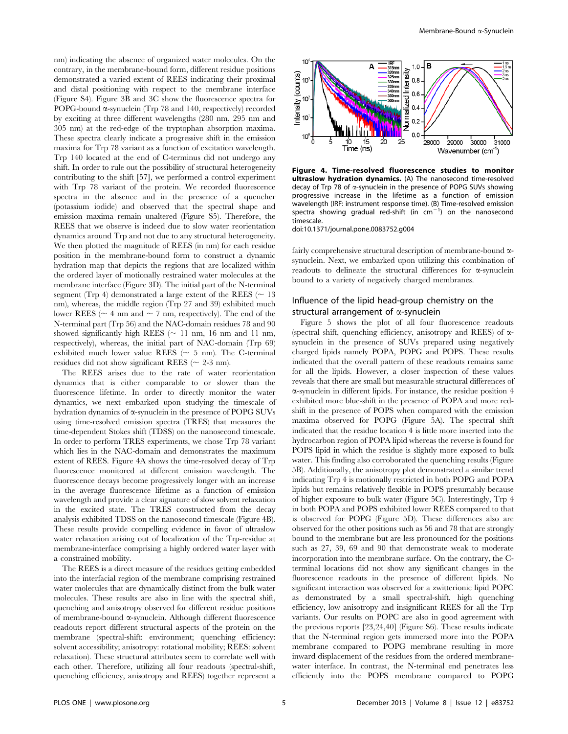nm) indicating the absence of organized water molecules. On the contrary, in the membrane-bound form, different residue positions demonstrated a varied extent of REES indicating their proximal and distal positioning with respect to the membrane interface (Figure S4). Figure 3B and 3C show the fluorescence spectra for POPG-bound  $\alpha$ -synuclein (Trp 78 and 140, respectively) recorded by exciting at three different wavelengths (280 nm, 295 nm and 305 nm) at the red-edge of the tryptophan absorption maxima. These spectra clearly indicate a progressive shift in the emission maxima for Trp 78 variant as a function of excitation wavelength. Trp 140 located at the end of C-terminus did not undergo any shift. In order to rule out the possibility of structural heterogeneity contributing to the shift [57], we performed a control experiment with Trp 78 variant of the protein. We recorded fluorescence spectra in the absence and in the presence of a quencher (potassium iodide) and observed that the spectral shape and emission maxima remain unaltered (Figure S5). Therefore, the REES that we observe is indeed due to slow water reorientation dynamics around Trp and not due to any structural heterogeneity. We then plotted the magnitude of REES (in nm) for each residue position in the membrane-bound form to construct a dynamic hydration map that depicts the regions that are localized within the ordered layer of motionally restrained water molecules at the membrane interface (Figure 3D). The initial part of the N-terminal segment (Trp 4) demonstrated a large extent of the REES ( $\sim 13$ ) nm), whereas, the middle region (Trp 27 and 39) exhibited much lower REES ( $\sim$  4 nm and  $\sim$  7 nm, respectively). The end of the N-terminal part (Trp 56) and the NAC-domain residues 78 and 90 showed significantly high REES ( $\sim$  11 nm, 16 nm and 11 nm, respectively), whereas, the initial part of NAC-domain (Trp 69) exhibited much lower value REES ( $\sim$  5 nm). The C-terminal residues did not show significant REES ( $\sim$  2-3 nm).

The REES arises due to the rate of water reorientation dynamics that is either comparable to or slower than the fluorescence lifetime. In order to directly monitor the water dynamics, we next embarked upon studying the timescale of hydration dynamics of  $\alpha$ -synuclein in the presence of POPG SUVs using time-resolved emission spectra (TRES) that measures the time-dependent Stokes shift (TDSS) on the nanosecond timescale. In order to perform TRES experiments, we chose Trp 78 variant which lies in the NAC-domain and demonstrates the maximum extent of REES. Figure 4A shows the time-resolved decay of Trp fluorescence monitored at different emission wavelength. The fluorescence decays become progressively longer with an increase in the average fluorescence lifetime as a function of emission wavelength and provide a clear signature of slow solvent relaxation in the excited state. The TRES constructed from the decay analysis exhibited TDSS on the nanosecond timescale (Figure 4B). These results provide compelling evidence in favor of ultraslow water relaxation arising out of localization of the Trp-residue at membrane-interface comprising a highly ordered water layer with a constrained mobility.

The REES is a direct measure of the residues getting embedded into the interfacial region of the membrane comprising restrained water molecules that are dynamically distinct from the bulk water molecules. These results are also in line with the spectral shift, quenching and anisotropy observed for different residue positions of membrane-bound a-synuclein. Although different fluorescence readouts report different structural aspects of the protein on the membrane (spectral-shift: environment; quenching efficiency: solvent accessibility; anisotropy: rotational mobility; REES: solvent relaxation). These structural attributes seem to correlate well with each other. Therefore, utilizing all four readouts (spectral-shift, quenching efficiency, anisotropy and REES) together represent a



Figure 4. Time-resolved fluorescence studies to monitor ultraslow hydration dynamics. (A) The nanosecond time-resolved decay of Trp 78 of a-synuclein in the presence of POPG SUVs showing progressive increase in the lifetime as a function of emission wavelength (IRF: instrument response time). (B) Time-resolved emission spectra showing gradual red-shift  $(in cm<sup>-1</sup>)$  on the nanosecond timescale.

doi:10.1371/journal.pone.0083752.g004

fairly comprehensive structural description of membrane-bound  $\alpha$ synuclein. Next, we embarked upon utilizing this combination of readouts to delineate the structural differences for  $\alpha$ -synuclein bound to a variety of negatively charged membranes.

# Influence of the lipid head-group chemistry on the structural arrangement of  $\alpha$ -synuclein

Figure 5 shows the plot of all four fluorescence readouts (spectral shift, quenching efficiency, anisotropy and REES) of  $\alpha$ synuclein in the presence of SUVs prepared using negatively charged lipids namely POPA, POPG and POPS. These results indicated that the overall pattern of these readouts remains same for all the lipids. However, a closer inspection of these values reveals that there are small but measurable structural differences of  $\alpha$ -synuclein in different lipids. For instance, the residue position  $4$ exhibited more blue-shift in the presence of POPA and more redshift in the presence of POPS when compared with the emission maxima observed for POPG (Figure 5A). The spectral shift indicated that the residue location 4 is little more inserted into the hydrocarbon region of POPA lipid whereas the reverse is found for POPS lipid in which the residue is slightly more exposed to bulk water. This finding also corroborated the quenching results (Figure 5B). Additionally, the anisotropy plot demonstrated a similar trend indicating Trp 4 is motionally restricted in both POPG and POPA lipids but remains relatively flexible in POPS presumably because of higher exposure to bulk water (Figure 5C). Interestingly, Trp 4 in both POPA and POPS exhibited lower REES compared to that is observed for POPG (Figure 5D). These differences also are observed for the other positions such as 56 and 78 that are strongly bound to the membrane but are less pronounced for the positions such as 27, 39, 69 and 90 that demonstrate weak to moderate incorporation into the membrane surface. On the contrary, the Cterminal locations did not show any significant changes in the fluorescence readouts in the presence of different lipids. No significant interaction was observed for a zwitterionic lipid POPC as demonstrated by a small spectral-shift, high quenching efficiency, low anisotropy and insignificant REES for all the Trp variants. Our results on POPC are also in good agreement with the previous reports [23,24,40] (Figure S6). These results indicate that the N-terminal region gets immersed more into the POPA membrane compared to POPG membrane resulting in more inward displacement of the residues from the ordered membranewater interface. In contrast, the N-terminal end penetrates less efficiently into the POPS membrane compared to POPG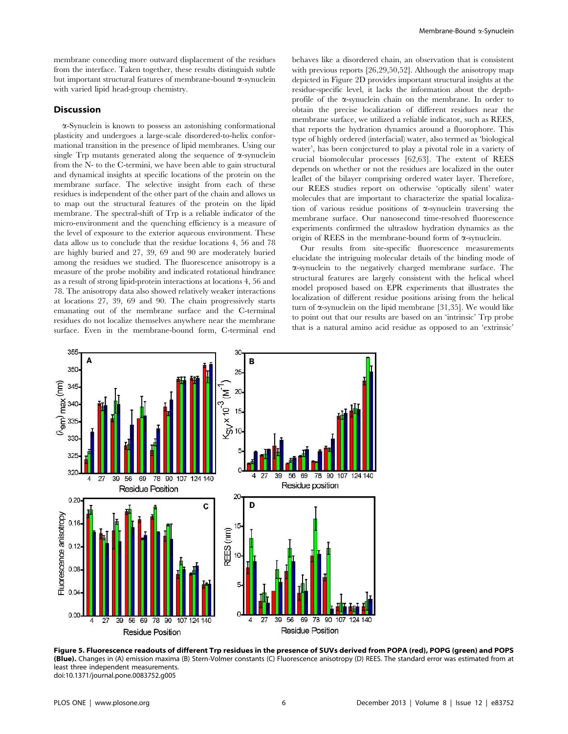membrane conceding more outward displacement of the residues from the interface. Taken together, these results distinguish subtle but important structural features of membrane-bound a-synuclein with varied lipid head-group chemistry.

## **Discussion**

a-Synuclein is known to possess an astonishing conformational plasticity and undergoes a large-scale disordered-to-helix conformational transition in the presence of lipid membranes. Using our single Trp mutants generated along the sequence of  $\alpha$ -synuclein from the N- to the C-termini, we have been able to gain structural and dynamical insights at specific locations of the protein on the membrane surface. The selective insight from each of these residues is independent of the other part of the chain and allows us to map out the structural features of the protein on the lipid membrane. The spectral-shift of Trp is a reliable indicator of the micro-environment and the quenching efficiency is a measure of the level of exposure to the exterior aqueous environment. These data allow us to conclude that the residue locations 4, 56 and 78 are highly buried and 27, 39, 69 and 90 are moderately buried among the residues we studied. The fluorescence anisotropy is a measure of the probe mobility and indicated rotational hindrance as a result of strong lipid-protein interactions at locations 4, 56 and 78. The anisotropy data also showed relatively weaker interactions at locations 27, 39, 69 and 90. The chain progressively starts emanating out of the membrane surface and the C-terminal residues do not localize themselves anywhere near the membrane surface. Even in the membrane-bound form, C-terminal end behaves like a disordered chain, an observation that is consistent with previous reports [26,29,50,52]. Although the anisotropy map depicted in Figure 2D provides important structural insights at the residue-specific level, it lacks the information about the depthprofile of the a-synuclein chain on the membrane. In order to obtain the precise localization of different residues near the membrane surface, we utilized a reliable indicator, such as REES, that reports the hydration dynamics around a fluorophore. This type of highly ordered (interfacial) water, also termed as 'biological water', has been conjectured to play a pivotal role in a variety of crucial biomolecular processes [62,63]. The extent of REES depends on whether or not the residues are localized in the outer leaflet of the bilayer comprising ordered water layer. Therefore, our REES studies report on otherwise 'optically silent' water molecules that are important to characterize the spatial localization of various residue positions of  $\alpha$ -synuclein traversing the membrane surface. Our nanosecond time-resolved fluorescence experiments confirmed the ultraslow hydration dynamics as the origin of REES in the membrane-bound form of  $\alpha$ -synuclein.

Our results from site-specific fluorescence measurements elucidate the intriguing molecular details of the binding mode of a-synuclein to the negatively charged membrane surface. The structural features are largely consistent with the helical wheel model proposed based on EPR experiments that illustrates the localization of different residue positions arising from the helical turn of  $\alpha$ -synuclein on the lipid membrane [31,35]. We would like to point out that our results are based on an 'intrinsic' Trp probe that is a natural amino acid residue as opposed to an 'extrinsic'



Figure 5. Fluorescence readouts of different Trp residues in the presence of SUVs derived from POPA (red), POPG (green) and POPS (Blue). Changes in (A) emission maxima (B) Stern-Volmer constants (C) Fluorescence anisotropy (D) REES. The standard error was estimated from at least three independent measurements. doi:10.1371/journal.pone.0083752.g005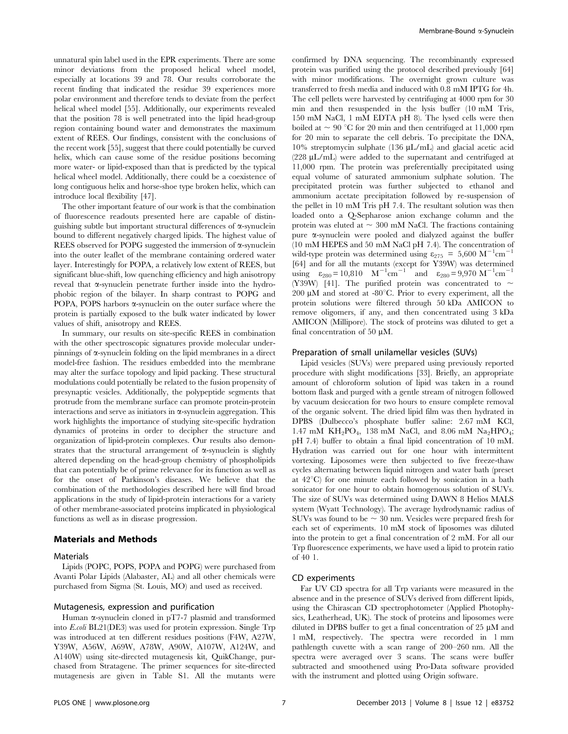unnatural spin label used in the EPR experiments. There are some minor deviations from the proposed helical wheel model, especially at locations 39 and 78. Our results corroborate the recent finding that indicated the residue 39 experiences more polar environment and therefore tends to deviate from the perfect helical wheel model [55]. Additionally, our experiments revealed that the position 78 is well penetrated into the lipid head-group region containing bound water and demonstrates the maximum extent of REES. Our findings, consistent with the conclusions of the recent work [55], suggest that there could potentially be curved helix, which can cause some of the residue positions becoming more water- or lipid-exposed than that is predicted by the typical helical wheel model. Additionally, there could be a coexistence of long contiguous helix and horse-shoe type broken helix, which can introduce local flexibility [47].

The other important feature of our work is that the combination of fluorescence readouts presented here are capable of distinguishing subtle but important structural differences of  $\alpha$ -synuclein bound to different negatively charged lipids. The highest value of REES observed for POPG suggested the immersion of  $\alpha$ -synuclein into the outer leaflet of the membrane containing ordered water layer. Interestingly for POPA, a relatively low extent of REES, but significant blue-shift, low quenching efficiency and high anisotropy reveal that  $\alpha$ -synuclein penetrate further inside into the hydrophobic region of the bilayer. In sharp contrast to POPG and POPA, POPS harbors  $\alpha$ -synuclein on the outer surface where the protein is partially exposed to the bulk water indicated by lower values of shift, anisotropy and REES.

In summary, our results on site-specific REES in combination with the other spectroscopic signatures provide molecular underpinnings of  $\alpha$ -synuclein folding on the lipid membranes in a direct model-free fashion. The residues embedded into the membrane may alter the surface topology and lipid packing. These structural modulations could potentially be related to the fusion propensity of presynaptic vesicles. Additionally, the polypeptide segments that protrude from the membrane surface can promote protein-protein interactions and serve as initiators in  $\alpha$ -synuclein aggregation. This work highlights the importance of studying site-specific hydration dynamics of proteins in order to decipher the structure and organization of lipid-protein complexes. Our results also demonstrates that the structural arrangement of  $\alpha$ -synuclein is slightly altered depending on the head-group chemistry of phospholipids that can potentially be of prime relevance for its function as well as for the onset of Parkinson's diseases. We believe that the combination of the methodologies described here will find broad applications in the study of lipid-protein interactions for a variety of other membrane-associated proteins implicated in physiological functions as well as in disease progression.

#### Materials and Methods

### Materials

Lipids (POPC, POPS, POPA and POPG) were purchased from Avanti Polar Lipids (Alabaster, AL) and all other chemicals were purchased from Sigma (St. Louis, MO) and used as received.

#### Mutagenesis, expression and purification

Human  $\alpha$ -synuclein cloned in pT7-7 plasmid and transformed into E.coli BL21(DE3) was used for protein expression. Single Trp was introduced at ten different residues positions (F4W, A27W, Y39W, A56W, A69W, A78W, A90W, A107W, A124W, and A140W) using site-directed mutagenesis kit, QuikChange, purchased from Stratagene. The primer sequences for site-directed mutagenesis are given in Table S1. All the mutants were

confirmed by DNA sequencing. The recombinantly expressed protein was purified using the protocol described previously [64] with minor modifications. The overnight grown culture was transferred to fresh media and induced with 0.8 mM IPTG for 4h. The cell pellets were harvested by centrifuging at 4000 rpm for 30 min and then resuspended in the lysis buffer (10 mM Tris, 150 mM NaCl, 1 mM EDTA pH 8). The lysed cells were then boiled at  $\sim 90$  °C for 20 min and then centrifuged at 11,000 rpm for 20 min to separate the cell debris. To precipitate the DNA, 10% streptomycin sulphate  $(136 \mu L/mL)$  and glacial acetic acid (228 µL/mL) were added to the supernatant and centrifuged at 11,000 rpm. The protein was preferentially precipitated using equal volume of saturated ammonium sulphate solution. The precipitated protein was further subjected to ethanol and ammonium acetate precipitation followed by re-suspension of the pellet in 10 mM Tris pH 7.4. The resultant solution was then loaded onto a Q-Sepharose anion exchange column and the protein was eluted at  $\sim 300$  mM NaCl. The fractions containing pure a-synuclein were pooled and dialyzed against the buffer (10 mM HEPES and 50 mM NaCl pH 7.4). The concentration of wild-type protein was determined using  $\varepsilon_{275} = 5,600 \text{ M}^{-1} \text{cm}^{-1}$ [64] and for all the mutants (except for Y39W) was determined using  $\varepsilon_{280} = 10,810 \text{ M}^{-1} \text{cm}^{-1}$  and  $\varepsilon_{280} = 9,970 \text{ M}^{-1} \text{cm}^{-1}$ (Y39W) [41]. The purified protein was concentrated to  $\sim$ 200  $\mu$ M and stored at -80 $^{\circ}$ C. Prior to every experiment, all the protein solutions were filtered through 50 kDa AMICON to remove oligomers, if any, and then concentrated using 3 kDa AMICON (Millipore). The stock of proteins was diluted to get a final concentration of 50  $\mu$ M.

#### Preparation of small unilamellar vesicles (SUVs)

Lipid vesicles (SUVs) were prepared using previously reported procedure with slight modifications [33]. Briefly, an appropriate amount of chloroform solution of lipid was taken in a round bottom flask and purged with a gentle stream of nitrogen followed by vacuum desiccation for two hours to ensure complete removal of the organic solvent. The dried lipid film was then hydrated in DPBS (Dulbecco's phosphate buffer saline: 2.67 mM KCl, 1.47 mM KH<sub>2</sub>PO<sub>4</sub>, 138 mM NaCl, and 8.06 mM Na<sub>2</sub>HPO<sub>4</sub>; pH 7.4) buffer to obtain a final lipid concentration of 10 mM. Hydration was carried out for one hour with intermittent vortexing. Liposomes were then subjected to five freeze-thaw cycles alternating between liquid nitrogen and water bath (preset at  $42^{\circ}$ C) for one minute each followed by sonication in a bath sonicator for one hour to obtain homogenous solution of SUVs. The size of SUVs was determined using DAWN 8 Helios MALS system (Wyatt Technology). The average hydrodynamic radius of SUVs was found to be  $\sim$  30 nm. Vesicles were prepared fresh for each set of experiments. 10 mM stock of liposomes was diluted into the protein to get a final concentration of 2 mM. For all our Trp fluorescence experiments, we have used a lipid to protein ratio of 40 1.

#### CD experiments

Far UV CD spectra for all Trp variants were measured in the absence and in the presence of SUVs derived from different lipids, using the Chirascan CD spectrophotometer (Applied Photophysics, Leatherhead, UK). The stock of proteins and liposomes were diluted in DPBS buffer to get a final concentration of  $25 \mu M$  and 1 mM, respectively. The spectra were recorded in 1 mm pathlength cuvette with a scan range of 200–260 nm. All the spectra were averaged over 3 scans. The scans were buffer subtracted and smoothened using Pro-Data software provided with the instrument and plotted using Origin software.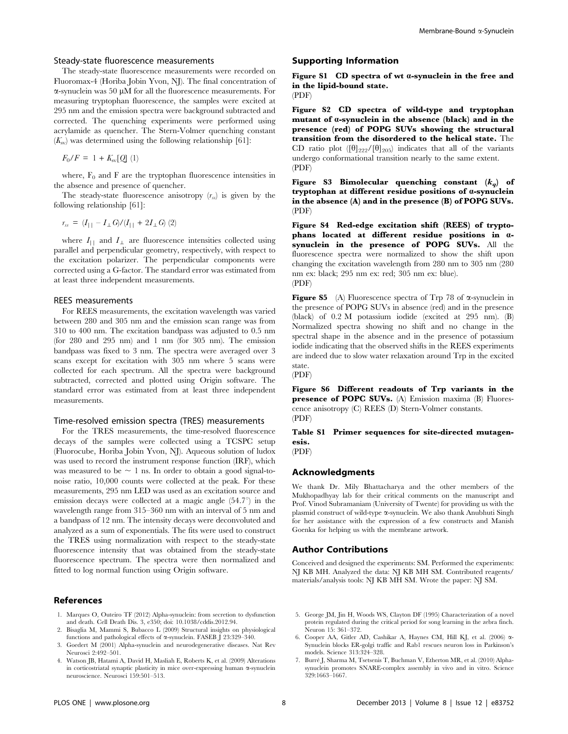#### Steady-state fluorescence measurements

The steady-state fluorescence measurements were recorded on Fluoromax-4 (Horiba Jobin Yvon, NJ). The final concentration of  $\alpha$ -synuclein was 50  $\mu$ M for all the fluorescence measurements. For measuring tryptophan fluorescence, the samples were excited at 295 nm and the emission spectra were background subtracted and corrected. The quenching experiments were performed using acrylamide as quencher. The Stern-Volmer quenching constant  $(K_{\rm sv})$  was determined using the following relationship [61]:

 $F_0/F = 1 + K_{\rm sv}[Q](1)$ 

where,  $F_0$  and F are the tryptophan fluorescence intensities in the absence and presence of quencher.

The steady-state fluorescence anisotropy  $(r_{ss})$  is given by the following relationship [61]:

$$
r_{ss} = (I_{||} - I_{\perp} G)/(I_{||} + 2I_{\perp} G) (2)
$$

where  $I_{\perp}$  and  $I_{\perp}$  are fluorescence intensities collected using parallel and perpendicular geometry, respectively, with respect to the excitation polarizer. The perpendicular components were corrected using a G-factor. The standard error was estimated from at least three independent measurements.

#### REES measurements

For REES measurements, the excitation wavelength was varied between 280 and 305 nm and the emission scan range was from 310 to 400 nm. The excitation bandpass was adjusted to 0.5 nm (for 280 and 295 nm) and 1 nm (for 305 nm). The emission bandpass was fixed to 3 nm. The spectra were averaged over 3 scans except for excitation with 305 nm where 5 scans were collected for each spectrum. All the spectra were background subtracted, corrected and plotted using Origin software. The standard error was estimated from at least three independent measurements.

#### Time-resolved emission spectra (TRES) measurements

For the TRES measurements, the time-resolved fluorescence decays of the samples were collected using a TCSPC setup (Fluorocube, Horiba Jobin Yvon, NJ). Aqueous solution of ludox was used to record the instrument response function (IRF), which was measured to be  $\sim$  1 ns. In order to obtain a good signal-tonoise ratio, 10,000 counts were collected at the peak. For these measurements, 295 nm LED was used as an excitation source and emission decays were collected at a magic angle  $(54.7^{\circ})$  in the wavelength range from 315–360 nm with an interval of 5 nm and a bandpass of 12 nm. The intensity decays were deconvoluted and analyzed as a sum of exponentials. The fits were used to construct the TRES using normalization with respect to the steady-state fluorescence intensity that was obtained from the steady-state fluorescence spectrum. The spectra were then normalized and fitted to log normal function using Origin software.

#### References

- 1. Marques O, Outeiro TF (2012) Alpha-synuclein: from secretion to dysfunction and death. Cell Death Dis. 3, e350; doi: 10.1038/cddis.2012.94.
- 2. Bisaglia M, Mammi S, Bubacco L (2009) Structural insights on physiological functions and pathological effects of a-synuclein. FASEB J 23:329–340.
- 3. Goedert M (2001) Alpha-synuclein and neurodegenerative diseases. Nat Rev Neurosci 2:492–501.
- 4. Watson JB, Hatami A, David H, Masliah E, Roberts K, et al. (2009) Alterations in corticostriatal synaptic plasticity in mice over-expressing human a-synuclein neuroscience. Neurosci 159:501–513.

#### Supporting Information

Figure S1 CD spectra of wt a-synuclein in the free and in the lipid-bound state. (PDF)

Figure S2 CD spectra of wild-type and tryptophan mutant of a-synuclein in the absence (black) and in the presence (red) of POPG SUVs showing the structural transition from the disordered to the helical state. The CD ratio plot  $(\theta_{222}/\theta_{205})$  indicates that all of the variants undergo conformational transition nearly to the same extent. (PDF)

Figure S3 Bimolecular quenching constant  $(k_q)$  of tryptophan at different residue positions of a-synuclein in the absence (A) and in the presence (B) of POPG SUVs. (PDF)

Figure S4 Red-edge excitation shift (REES) of tryptophans located at different residue positions in asynuclein in the presence of POPG SUVs. All the fluorescence spectra were normalized to show the shift upon changing the excitation wavelength from 280 nm to 305 nm (280 nm ex: black; 295 nm ex: red; 305 nm ex: blue). (PDF)

**Figure S5** (A) Fluorescence spectra of Trp 78 of  $\alpha$ -synuclein in the presence of POPG SUVs in absence (red) and in the presence (black) of 0.2 M potassium iodide (excited at 295 nm). (B) Normalized spectra showing no shift and no change in the spectral shape in the absence and in the presence of potassium iodide indicating that the observed shifts in the REES experiments are indeed due to slow water relaxation around Trp in the excited state.

(PDF)

Figure S6 Different readouts of Trp variants in the presence of POPC SUVs. (A) Emission maxima (B) Fluorescence anisotropy (C) REES (D) Stern-Volmer constants. (PDF)

Table S1 Primer sequences for site-directed mutagenesis.

(PDF)

#### Acknowledgments

We thank Dr. Mily Bhattacharya and the other members of the Mukhopadhyay lab for their critical comments on the manuscript and Prof. Vinod Subramaniam (University of Twente) for providing us with the plasmid construct of wild-type a-synuclein. We also thank Anubhuti Singh for her assistance with the expression of a few constructs and Manish Goenka for helping us with the membrane artwork.

#### Author Contributions

Conceived and designed the experiments: SM. Performed the experiments: NJ KB MH. Analyzed the data: NJ KB MH SM. Contributed reagents/ materials/analysis tools: NJ KB MH SM. Wrote the paper: NJ SM.

- 5. George JM, Jin H, Woods WS, Clayton DF (1995) Characterization of a novel protein regulated during the critical period for song learning in the zebra finch. Neuron 15: 361–372.
- 6. Cooper AA, Gitler AD, Cashikar A, Haynes CM, Hill KJ, et al. (2006) a-Synuclein blocks ER-golgi traffic and Rab1 rescues neuron loss in Parkinson's models. Science 313:324–328.
- 7. Burré J, Sharma M, Tsetsenis T, Buchman V, Etherton MR, et al. (2010) Alphasynuclein promotes SNARE-complex assembly in vivo and in vitro. Science 329:1663–1667.